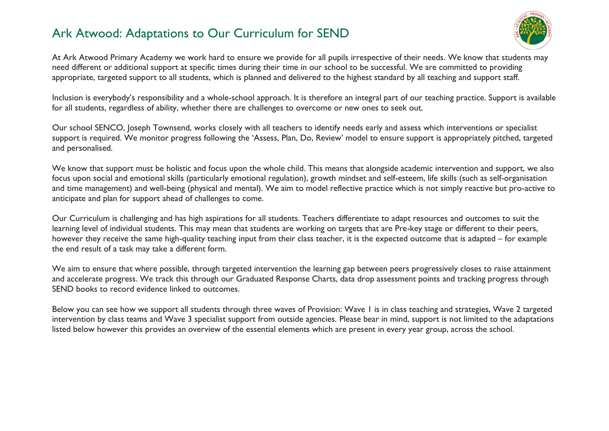

At Ark Atwood Primary Academy we work hard to ensure we provide for all pupils irrespective of their needs. We know that students may need different or additional support at specific times during their time in our school to be successful. We are committed to providing appropriate, targeted support to all students, which is planned and delivered to the highest standard by all teaching and support staff.

Inclusion is everybody's responsibility and a whole-school approach. It is therefore an integral part of our teaching practice. Support is available for all students, regardless of ability, whether there are challenges to overcome or new ones to seek out.

Our school SENCO, Joseph Townsend, works closely with all teachers to identify needs early and assess which interventions or specialist support is required. We monitor progress following the 'Assess, Plan, Do, Review' model to ensure support is appropriately pitched, targeted and personalised.

We know that support must be holistic and focus upon the whole child. This means that alongside academic intervention and support, we also focus upon social and emotional skills (particularly emotional regulation), growth mindset and self-esteem, life skills (such as self-organisation and time management) and well-being (physical and mental). We aim to model reflective practice which is not simply reactive but pro-active to anticipate and plan for support ahead of challenges to come.

Our Curriculum is challenging and has high aspirations for all students. Teachers differentiate to adapt resources and outcomes to suit the learning level of individual students. This may mean that students are working on targets that are Pre-key stage or different to their peers, however they receive the same high-quality teaching input from their class teacher, it is the expected outcome that is adapted – for example the end result of a task may take a different form.

We aim to ensure that where possible, through targeted intervention the learning gap between peers progressively closes to raise attainment and accelerate progress. We track this through our Graduated Response Charts, data drop assessment points and tracking progress through SEND books to record evidence linked to outcomes.

Below you can see how we support all students through three waves of Provision: Wave 1 is in class teaching and strategies, Wave 2 targeted intervention by class teams and Wave 3 specialist support from outside agencies. Please bear in mind, support is not limited to the adaptations listed below however this provides an overview of the essential elements which are present in every year group, across the school.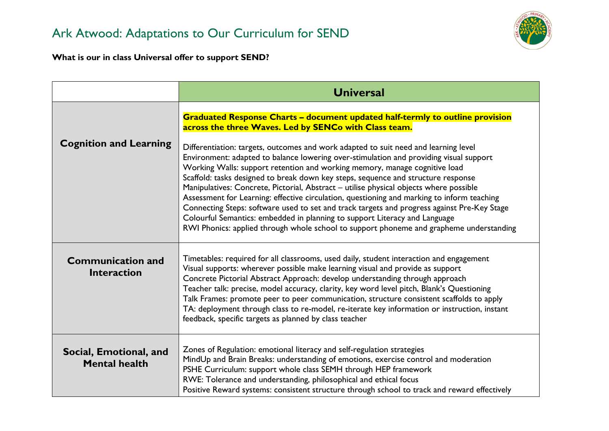

**What is our in class Universal offer to support SEND?** 

|                                                | <b>Universal</b>                                                                                                                                                                                                                                                                                                                                                                                                                                                                                                                                                                                                                                                                                                                                                                                                                                                                                                                                                  |
|------------------------------------------------|-------------------------------------------------------------------------------------------------------------------------------------------------------------------------------------------------------------------------------------------------------------------------------------------------------------------------------------------------------------------------------------------------------------------------------------------------------------------------------------------------------------------------------------------------------------------------------------------------------------------------------------------------------------------------------------------------------------------------------------------------------------------------------------------------------------------------------------------------------------------------------------------------------------------------------------------------------------------|
| <b>Cognition and Learning</b>                  | <b>Graduated Response Charts - document updated half-termly to outline provision</b><br>across the three Waves. Led by SENCo with Class team.<br>Differentiation: targets, outcomes and work adapted to suit need and learning level<br>Environment: adapted to balance lowering over-stimulation and providing visual support<br>Working Walls: support retention and working memory, manage cognitive load<br>Scaffold: tasks designed to break down key steps, sequence and structure response<br>Manipulatives: Concrete, Pictorial, Abstract - utilise physical objects where possible<br>Assessment for Learning: effective circulation, questioning and marking to inform teaching<br>Connecting Steps: software used to set and track targets and progress against Pre-Key Stage<br>Colourful Semantics: embedded in planning to support Literacy and Language<br>RWI Phonics: applied through whole school to support phoneme and grapheme understanding |
| <b>Communication and</b><br><b>Interaction</b> | Timetables: required for all classrooms, used daily, student interaction and engagement<br>Visual supports: wherever possible make learning visual and provide as support<br>Concrete Pictorial Abstract Approach: develop understanding through approach<br>Teacher talk: precise, model accuracy, clarity, key word level pitch, Blank's Questioning<br>Talk Frames: promote peer to peer communication, structure consistent scaffolds to apply<br>TA: deployment through class to re-model, re-iterate key information or instruction, instant<br>feedback, specific targets as planned by class teacher                                                                                                                                                                                                                                                                                                                                                      |
| Social, Emotional, and<br><b>Mental health</b> | Zones of Regulation: emotional literacy and self-regulation strategies<br>MindUp and Brain Breaks: understanding of emotions, exercise control and moderation<br>PSHE Curriculum: support whole class SEMH through HEP framework<br>RWE: Tolerance and understanding, philosophical and ethical focus<br>Positive Reward systems: consistent structure through school to track and reward effectively                                                                                                                                                                                                                                                                                                                                                                                                                                                                                                                                                             |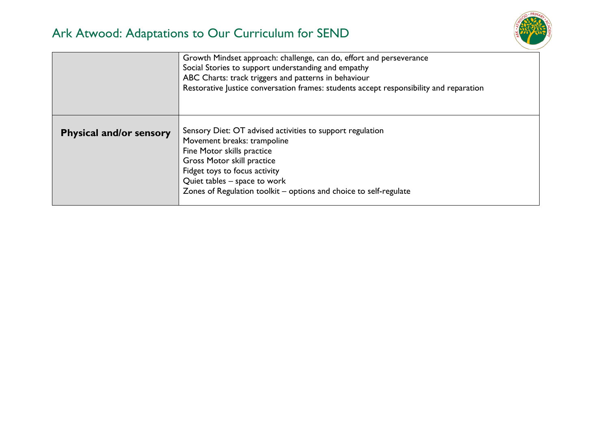

|                                | Growth Mindset approach: challenge, can do, effort and perseverance<br>Social Stories to support understanding and empathy<br>ABC Charts: track triggers and patterns in behaviour<br>Restorative Justice conversation frames: students accept responsibility and reparation               |
|--------------------------------|--------------------------------------------------------------------------------------------------------------------------------------------------------------------------------------------------------------------------------------------------------------------------------------------|
| <b>Physical and/or sensory</b> | Sensory Diet: OT advised activities to support regulation<br>Movement breaks: trampoline<br>Fine Motor skills practice<br>Gross Motor skill practice<br>Fidget toys to focus activity<br>Quiet tables - space to work<br>Zones of Regulation toolkit – options and choice to self-regulate |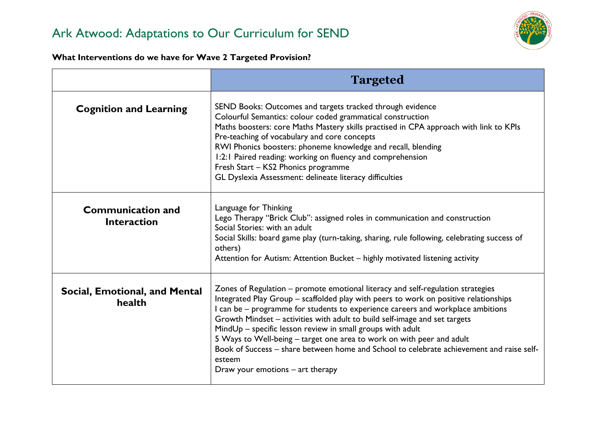

### **What Interventions do we have for Wave 2 Targeted Provision?**

|                                                | <b>Targeted</b>                                                                                                                                                                                                                                                                                                                                                                                                                                                                                                                                                                                                             |
|------------------------------------------------|-----------------------------------------------------------------------------------------------------------------------------------------------------------------------------------------------------------------------------------------------------------------------------------------------------------------------------------------------------------------------------------------------------------------------------------------------------------------------------------------------------------------------------------------------------------------------------------------------------------------------------|
| <b>Cognition and Learning</b>                  | SEND Books: Outcomes and targets tracked through evidence<br>Colourful Semantics: colour coded grammatical construction<br>Maths boosters: core Maths Mastery skills practised in CPA approach with link to KPIs<br>Pre-teaching of vocabulary and core concepts<br>RWI Phonics boosters: phoneme knowledge and recall, blending<br>1:2:1 Paired reading: working on fluency and comprehension<br>Fresh Start - KS2 Phonics programme<br>GL Dyslexia Assessment: delineate literacy difficulties                                                                                                                            |
| <b>Communication and</b><br><b>Interaction</b> | Language for Thinking<br>Lego Therapy "Brick Club": assigned roles in communication and construction<br>Social Stories: with an adult<br>Social Skills: board game play (turn-taking, sharing, rule following, celebrating success of<br>others)<br>Attention for Autism: Attention Bucket – highly motivated listening activity                                                                                                                                                                                                                                                                                            |
| Social, Emotional, and Mental<br>health        | Zones of Regulation – promote emotional literacy and self-regulation strategies<br>Integrated Play Group - scaffolded play with peers to work on positive relationships<br>I can be – programme for students to experience careers and workplace ambitions<br>Growth Mindset – activities with adult to build self-image and set targets<br>MindUp - specific lesson review in small groups with adult<br>5 Ways to Well-being – target one area to work on with peer and adult<br>Book of Success – share between home and School to celebrate achievement and raise self-<br>esteem<br>Draw your emotions $-$ art therapy |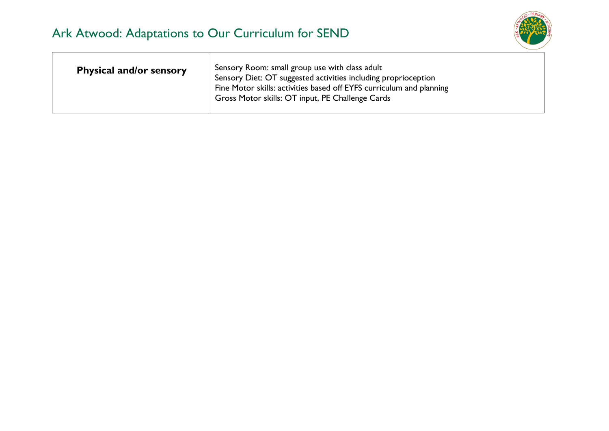

| <b>Physical and/or sensory</b> | Sensory Room: small group use with class adult<br>Sensory Diet: OT suggested activities including proprioception<br>Fine Motor skills: activities based off EYFS curriculum and planning<br>Gross Motor skills: OT input, PE Challenge Cards |
|--------------------------------|----------------------------------------------------------------------------------------------------------------------------------------------------------------------------------------------------------------------------------------------|
|--------------------------------|----------------------------------------------------------------------------------------------------------------------------------------------------------------------------------------------------------------------------------------------|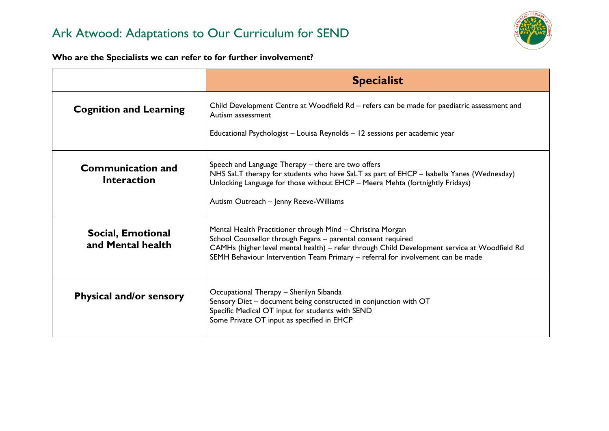

**Who are the Specialists we can refer to for further involvement?** 

|                                                | <b>Specialist</b>                                                                                                                                                                                                                                                                                             |
|------------------------------------------------|---------------------------------------------------------------------------------------------------------------------------------------------------------------------------------------------------------------------------------------------------------------------------------------------------------------|
| <b>Cognition and Learning</b>                  | Child Development Centre at Woodfield Rd - refers can be made for paediatric assessment and<br>Autism assessment<br>Educational Psychologist - Louisa Reynolds - 12 sessions per academic year                                                                                                                |
| <b>Communication and</b><br><b>Interaction</b> | Speech and Language Therapy – there are two offers<br>NHS SaLT therapy for students who have SaLT as part of EHCP - Isabella Yanes (Wednesday)<br>Unlocking Language for those without EHCP - Meera Mehta (fortnightly Fridays)<br>Autism Outreach - Jenny Reeve-Williams                                     |
| Social, Emotional<br>and Mental health         | Mental Health Practitioner through Mind - Christina Morgan<br>School Counsellor through Fegans - parental consent required<br>CAMHs (higher level mental health) - refer through Child Development service at Woodfield Rd<br>SEMH Behaviour Intervention Team Primary - referral for involvement can be made |
| <b>Physical and/or sensory</b>                 | Occupational Therapy - Sherilyn Sibanda<br>Sensory Diet - document being constructed in conjunction with OT<br>Specific Medical OT input for students with SEND<br>Some Private OT input as specified in EHCP                                                                                                 |